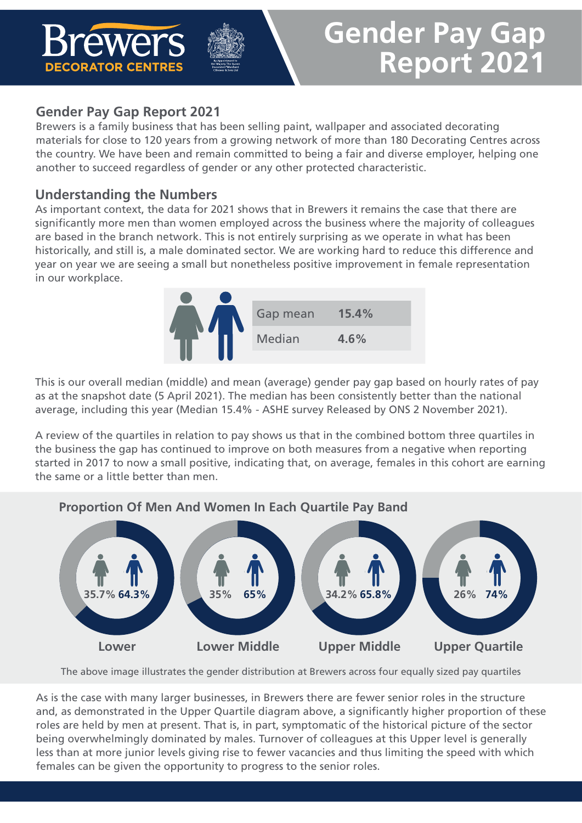

# **Gender Pay Gap Report 2021**

### **Gender Pay Gap Report 2021**

Brewers is a family business that has been selling paint, wallpaper and associated decorating materials for close to 120 years from a growing network of more than 180 Decorating Centres across the country. We have been and remain committed to being a fair and diverse employer, helping one another to succeed regardless of gender or any other protected characteristic.

#### **Understanding the Numbers**

As important context, the data for 2021 shows that in Brewers it remains the case that there are significantly more men than women employed across the business where the majority of colleagues are based in the branch network. This is not entirely surprising as we operate in what has been historically, and still is, a male dominated sector. We are working hard to reduce this difference and year on year we are seeing a small but nonetheless positive improvement in female representation in our workplace.



This is our overall median (middle) and mean (average) gender pay gap based on hourly rates of pay as at the snapshot date (5 April 2021). The median has been consistently better than the national average, including this year (Median 15.4% - ASHE survey Released by ONS 2 November 2021).

A review of the quartiles in relation to pay shows us that in the combined bottom three quartiles in the business the gap has continued to improve on both measures from a negative when reporting started in 2017 to now a small positive, indicating that, on average, females in this cohort are earning the same or a little better than men.



The above image illustrates the gender distribution at Brewers across four equally sized pay quartiles

As is the case with many larger businesses, in Brewers there are fewer senior roles in the structure and, as demonstrated in the Upper Quartile diagram above, a significantly higher proportion of these roles are held by men at present. That is, in part, symptomatic of the historical picture of the sector being overwhelmingly dominated by males. Turnover of colleagues at this Upper level is generally less than at more junior levels giving rise to fewer vacancies and thus limiting the speed with which females can be given the opportunity to progress to the senior roles.